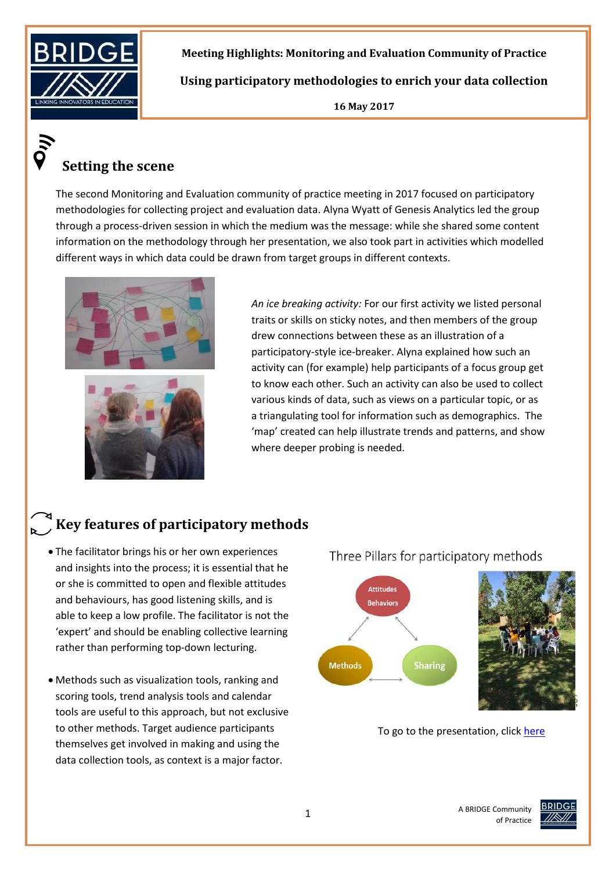

**Meeting Highlights: Monitoring and Evaluation Community of Practice** 

**Using participatory methodologies to enrich your data collection** 

**16 May 2017**

# **Setting the scene**

The second Monitoring and Evaluation community of practice meeting in 2017 focused on participatory methodologies for collecting project and evaluation data. Alyna Wyatt of Genesis Analytics led the group through a process-driven session in which the medium was the message: while she shared some content information on the methodology through her presentation, we also took part in activities which modelled different ways in which data could be drawn from target groups in different contexts.





*An ice breaking activity:* For our first activity we listed personal traits or skills on sticky notes, and then members of the group drew connections between these as an illustration of a participatory-style ice-breaker. Alyna explained how such an activity can (for example) help participants of a focus group get to know each other. Such an activity can also be used to collect various kinds of data, such as views on a particular topic, or as a triangulating tool for information such as demographics. The 'map' created can help illustrate trends and patterns, and show where deeper probing is needed.

# **Key features of participatory methods**

- The facilitator brings his or her own experiences and insights into the process; it is essential that he or she is committed to open and flexible attitudes and behaviours, has good listening skills, and is able to keep a low profile. The facilitator is not the 'expert' and should be enabling collective learning rather than performing top-down lecturing.
- data collection tools, as context is a major factor. Methods such as visualization tools, ranking and scoring tools, trend analysis tools and calendar tools are useful to this approach, but not exclusive to other methods. Target audience participants themselves get involved in making and using the



To go to the presentation, click [here](http://www.bridge.org.za/knowledgehub/enrich-data-collection-participatory-methodologies/)



of Practice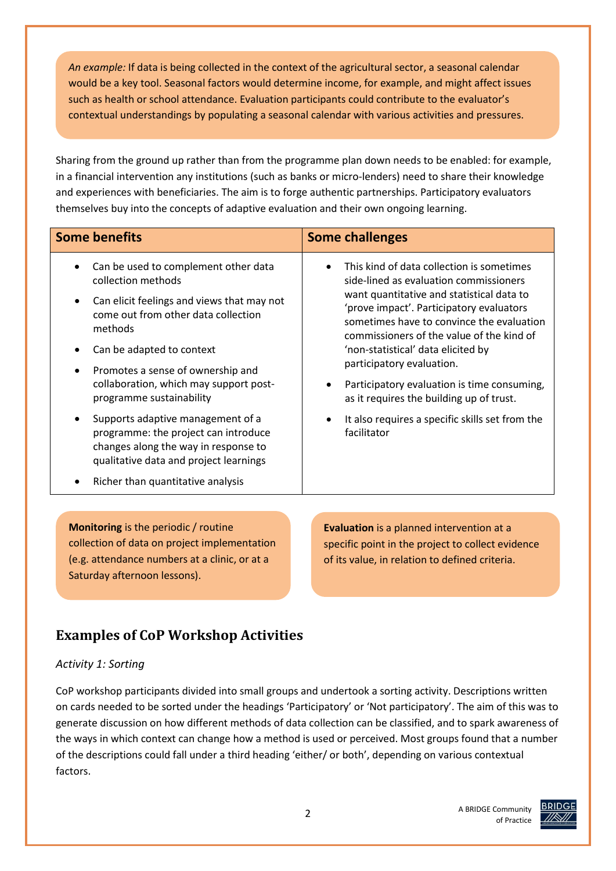*An example:* If data is being collected in the context of the agricultural sector, a seasonal calendar would be a key tool. Seasonal factors would determine income, for example, and might affect issues such as health or school attendance. Evaluation participants could contribute to the evaluator's contextual understandings by populating a seasonal calendar with various activities and pressures.

Sharing from the ground up rather than from the programme plan down needs to be enabled: for example, in a financial intervention any institutions (such as banks or micro-lenders) need to share their knowledge and experiences with beneficiaries. The aim is to forge authentic partnerships. Participatory evaluators themselves buy into the concepts of adaptive evaluation and their own ongoing learning.

| <b>Some benefits</b>                                                                                                                                                                                                                                                                                                                                                                                                                                                                                                | <b>Some challenges</b>                                                                                                                                                                                                                                                                                                                                                                                                                                                                                              |  |  |
|---------------------------------------------------------------------------------------------------------------------------------------------------------------------------------------------------------------------------------------------------------------------------------------------------------------------------------------------------------------------------------------------------------------------------------------------------------------------------------------------------------------------|---------------------------------------------------------------------------------------------------------------------------------------------------------------------------------------------------------------------------------------------------------------------------------------------------------------------------------------------------------------------------------------------------------------------------------------------------------------------------------------------------------------------|--|--|
| Can be used to complement other data<br>collection methods<br>Can elicit feelings and views that may not<br>$\bullet$<br>come out from other data collection<br>methods<br>Can be adapted to context<br>Promotes a sense of ownership and<br>collaboration, which may support post-<br>programme sustainability<br>Supports adaptive management of a<br>programme: the project can introduce<br>changes along the way in response to<br>qualitative data and project learnings<br>Richer than quantitative analysis | This kind of data collection is sometimes<br>side-lined as evaluation commissioners<br>want quantitative and statistical data to<br>'prove impact'. Participatory evaluators<br>sometimes have to convince the evaluation<br>commissioners of the value of the kind of<br>'non-statistical' data elicited by<br>participatory evaluation.<br>Participatory evaluation is time consuming,<br>as it requires the building up of trust.<br>It also requires a specific skills set from the<br>$\bullet$<br>facilitator |  |  |
|                                                                                                                                                                                                                                                                                                                                                                                                                                                                                                                     |                                                                                                                                                                                                                                                                                                                                                                                                                                                                                                                     |  |  |
| <b>Monitoring</b> is the periodic / routine<br>collection of data on project implementation<br>(e.g. attendance numbers at a clinic, or at a<br>Saturday afternoon lessons).                                                                                                                                                                                                                                                                                                                                        | Evaluation is a planned intervention at a<br>specific point in the project to collect evidence<br>of its value, in relation to defined criteria.                                                                                                                                                                                                                                                                                                                                                                    |  |  |

## **Examples of CoP Workshop Activities**

#### *Activity 1: Sorting*

CoP workshop participants divided into small groups and undertook a sorting activity. Descriptions written on cards needed to be sorted under the headings 'Participatory' or 'Not participatory'. The aim of this was to generate discussion on how different methods of data collection can be classified, and to spark awareness of the ways in which context can change how a method is used or perceived. Most groups found that a number of the descriptions could fall under a third heading 'either/ or both', depending on various contextual factors.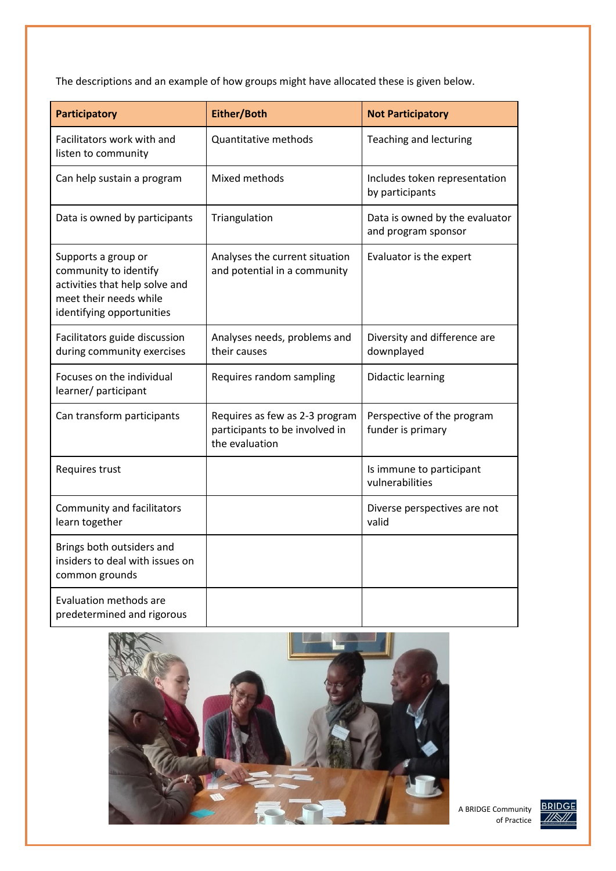The descriptions and an example of how groups might have allocated these is given below.

| <b>Participatory</b>                                                                                                                  | Either/Both                                                                        | <b>Not Participatory</b>                              |  |
|---------------------------------------------------------------------------------------------------------------------------------------|------------------------------------------------------------------------------------|-------------------------------------------------------|--|
| Facilitators work with and<br>listen to community                                                                                     | Quantitative methods                                                               | Teaching and lecturing                                |  |
| Can help sustain a program                                                                                                            | Mixed methods                                                                      | Includes token representation<br>by participants      |  |
| Data is owned by participants                                                                                                         | Triangulation                                                                      | Data is owned by the evaluator<br>and program sponsor |  |
| Supports a group or<br>community to identify<br>activities that help solve and<br>meet their needs while<br>identifying opportunities | Analyses the current situation<br>and potential in a community                     | Evaluator is the expert                               |  |
| Facilitators guide discussion<br>during community exercises                                                                           | Analyses needs, problems and<br>their causes                                       | Diversity and difference are<br>downplayed            |  |
| Focuses on the individual<br>learner/ participant                                                                                     | Requires random sampling                                                           | <b>Didactic learning</b>                              |  |
| Can transform participants                                                                                                            | Requires as few as 2-3 program<br>participants to be involved in<br>the evaluation | Perspective of the program<br>funder is primary       |  |
| Requires trust                                                                                                                        |                                                                                    | Is immune to participant<br>vulnerabilities           |  |
| Community and facilitators<br>learn together                                                                                          |                                                                                    | Diverse perspectives are not<br>valid                 |  |
| Brings both outsiders and<br>insiders to deal with issues on<br>common grounds                                                        |                                                                                    |                                                       |  |
| Evaluation methods are<br>predetermined and rigorous                                                                                  |                                                                                    |                                                       |  |



A BRIDGE Community of Practice

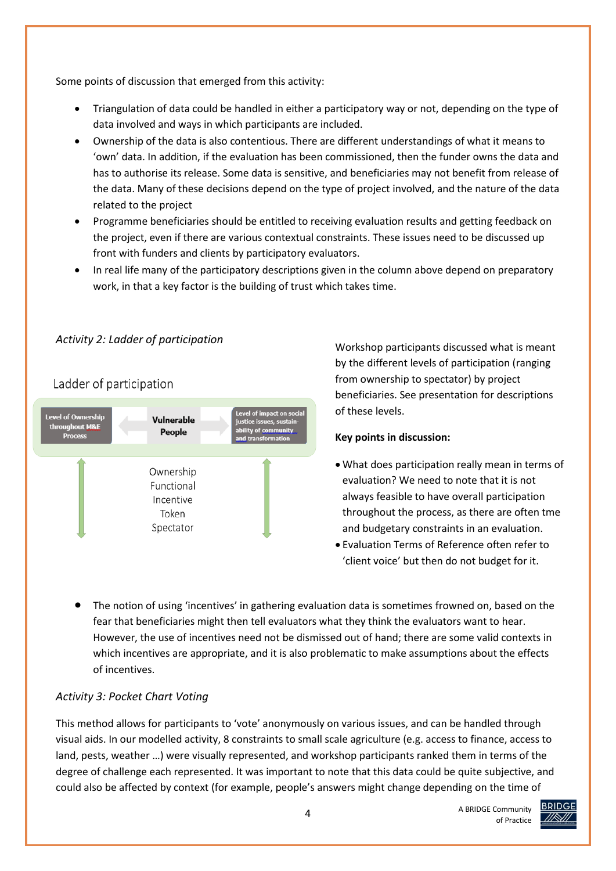Some points of discussion that emerged from this activity:

- Triangulation of data could be handled in either a participatory way or not, depending on the type of data involved and ways in which participants are included.
- Ownership of the data is also contentious. There are different understandings of what it means to 'own' data. In addition, if the evaluation has been commissioned, then the funder owns the data and has to authorise its release. Some data is sensitive, and beneficiaries may not benefit from release of the data. Many of these decisions depend on the type of project involved, and the nature of the data related to the project
- Programme beneficiaries should be entitled to receiving evaluation results and getting feedback on the project, even if there are various contextual constraints. These issues need to be discussed up front with funders and clients by participatory evaluators.
- In real life many of the participatory descriptions given in the column above depend on preparatory work, in that a key factor is the building of trust which takes time.

#### *Activity 2: Ladder of participation*

### Ladder of participation



Workshop participants discussed what is meant by the different levels of participation (ranging from ownership to spectator) by project beneficiaries. See presentation for descriptions of these levels.

#### **Key points in discussion:**

- What does participation really mean in terms of evaluation? We need to note that it is not always feasible to have overall participation throughout the process, as there are often tme and budgetary constraints in an evaluation.
- Evaluation Terms of Reference often refer to 'client voice' but then do not budget for it.
- The notion of using 'incentives' in gathering evaluation data is sometimes frowned on, based on the fear that beneficiaries might then tell evaluators what they think the evaluators want to hear. However, the use of incentives need not be dismissed out of hand; there are some valid contexts in which incentives are appropriate, and it is also problematic to make assumptions about the effects of incentives.

#### *Activity 3: Pocket Chart Voting*

This method allows for participants to 'vote' anonymously on various issues, and can be handled through visual aids. In our modelled activity, 8 constraints to small scale agriculture (e.g. access to finance, access to land, pests, weather …) were visually represented, and workshop participants ranked them in terms of the degree of challenge each represented. It was important to note that this data could be quite subjective, and could also be affected by context (for example, people's answers might change depending on the time of

> A BRIDGE Community of Practice